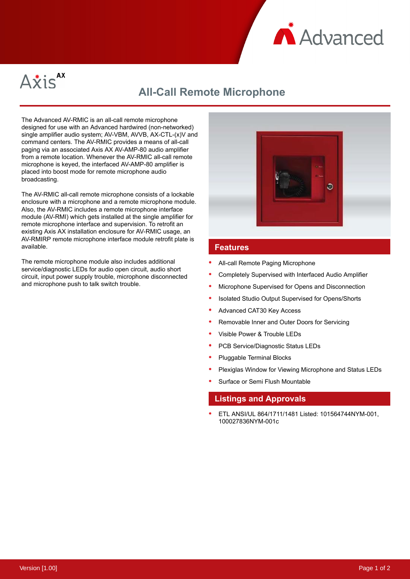



# **All-Call Remote Microphone**

The Advanced AV-RMIC is an all-call remote microphone designed for use with an Advanced hardwired (non-networked) single amplifier audio system; AV-VBM, AVVB, AX-CTL-(x)V and command centers. The AV-RMIC provides a means of all-call paging via an associated Axis AX AV-AMP-80 audio amplifier from a remote location. Whenever the AV-RMIC all-call remote microphone is keyed, the interfaced AV-AMP-80 amplifier is placed into boost mode for remote microphone audio broadcasting.

The AV-RMIC all-call remote microphone consists of a lockable enclosure with a microphone and a remote microphone module. Also, the AV-RMIC includes a remote microphone interface module (AV-RMI) which gets installed at the single amplifier for remote microphone interface and supervision. To retrofit an existing Axis AX installation enclosure for AV-RMIC usage, an AV-RMIRP remote microphone interface module retrofit plate is available.

The remote microphone module also includes additional service/diagnostic LEDs for audio open circuit, audio short circuit, input power supply trouble, microphone disconnected and microphone push to talk switch trouble.



### **Features**

- All-call Remote Paging Microphone
- Completely Supervised with Interfaced Audio Amplifier
- Microphone Supervised for Opens and Disconnection
- Isolated Studio Output Supervised for Opens/Shorts
- Advanced CAT30 Key Access
- Removable Inner and Outer Doors for Servicing
- Visible Power & Trouble LEDs
- PCB Service/Diagnostic Status LEDs
- Pluggable Terminal Blocks
- Plexiglas Window for Viewing Microphone and Status LEDs
- Surface or Semi Flush Mountable

### **Listings and Approvals**

ETL ANSI/UL 864/1711/1481 Listed: 101564744NYM-001, 100027836NYM-001c